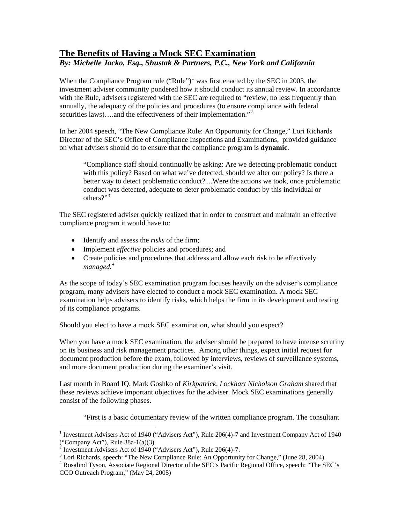## **The Benefits of Having a Mock SEC Examination**  *By: Michelle Jacko, Esq., Shustak & Partners, P.C., New York and California*

When the Compliance Program rule  $("Rule")^1$  $("Rule")^1$  was first enacted by the SEC in 2003, the investment adviser community pondered how it should conduct its annual review. In accordance with the Rule, advisers registered with the SEC are required to "review, no less frequently than annually, the adequacy of the policies and procedures (to ensure compliance with federal securities laws)....and the effectiveness of their implementation."<sup>[2](#page-0-1)</sup>

In her 2004 speech, "The New Compliance Rule: An Opportunity for Change," Lori Richards Director of the SEC's Office of Compliance Inspections and Examinations, provided guidance on what advisers should do to ensure that the compliance program is **dynamic**.

"Compliance staff should continually be asking: Are we detecting problematic conduct with this policy? Based on what we've detected, should we alter our policy? Is there a better way to detect problematic conduct?....Were the actions we took, once problematic conduct was detected, adequate to deter problematic conduct by this individual or others?"<sup>[3](#page-0-2)</sup>

The SEC registered adviser quickly realized that in order to construct and maintain an effective compliance program it would have to:

- Identify and assess the *risks* of the firm;
- Implement *effective* policies and procedures; and
- Create policies and procedures that address and allow each risk to be effectively *managed.[4](#page-0-3)*

As the scope of today's SEC examination program focuses heavily on the adviser's compliance program, many advisers have elected to conduct a mock SEC examination. A mock SEC examination helps advisers to identify risks, which helps the firm in its development and testing of its compliance programs.

Should you elect to have a mock SEC examination, what should you expect?

When you have a mock SEC examination, the adviser should be prepared to have intense scrutiny on its business and risk management practices. Among other things, expect initial request for document production before the exam, followed by interviews, reviews of surveillance systems, and more document production during the examiner's visit.

Last month in Board IQ, Mark Goshko of *Kirkpatrick, Lockhart Nicholson Graham* shared that these reviews achieve important objectives for the adviser. Mock SEC examinations generally consist of the following phases.

"First is a basic documentary review of the written compliance program. The consultant

<span id="page-0-0"></span> $\overline{a}$ <sup>1</sup> Investment Advisers Act of 1940 ("Advisers Act"), Rule 206(4)-7 and Investment Company Act of 1940

<span id="page-0-1"></span><sup>(&</sup>quot;Company Act"), Rule 38a-1(a)(3).<br><sup>2</sup> Investment Advisers Act of 1940 ("Advisers Act"), Rule 206(4)-7.

<sup>&</sup>lt;sup>3</sup> Lori Richards, speech: "The New Compliance Rule: An Opportunity for Change," (June 28, 2004).<br><sup>4</sup> Beselind Tysen, Associate Bessional Director of the SEC's Besitie Bessional Office, speech: "The SI

<span id="page-0-3"></span><span id="page-0-2"></span><sup>&</sup>lt;sup>4</sup> Rosalind Tyson, Associate Regional Director of the SEC's Pacific Regional Office, speech: "The SEC's CCO Outreach Program," (May 24, 2005)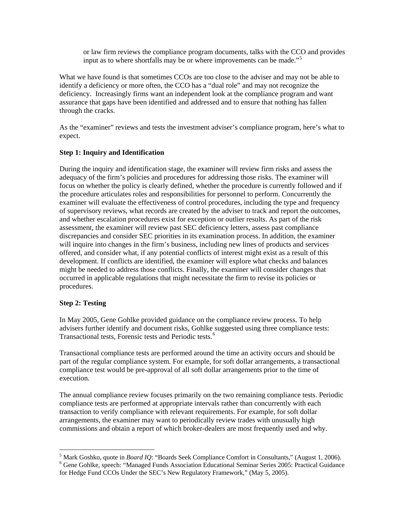or law firm reviews the compliance program documents, talks with the CCO and provides input as to where shortfalls may be or where improvements can be made."<sup>[5](#page-1-0)</sup>

What we have found is that sometimes CCOs are too close to the adviser and may not be able to identify a deficiency or more often, the CCO has a "dual role" and may not recognize the deficiency. Increasingly firms want an independent look at the compliance program and want assurance that gaps have been identified and addressed and to ensure that nothing has fallen through the cracks.

As the "examiner" reviews and tests the investment adviser's compliance program, here's what to expect.

## **Step 1: Inquiry and Identification**

During the inquiry and identification stage, the examiner will review firm risks and assess the adequacy of the firm's policies and procedures for addressing those risks. The examiner will focus on whether the policy is clearly defined, whether the procedure is currently followed and if the procedure articulates roles and responsibilities for personnel to perform. Concurrently the examiner will evaluate the effectiveness of control procedures, including the type and frequency of supervisory reviews, what records are created by the adviser to track and report the outcomes, and whether escalation procedures exist for exception or outlier results. As part of the risk assessment, the examiner will review past SEC deficiency letters, assess past compliance discrepancies and consider SEC priorities in its examination process. In addition, the examiner will inquire into changes in the firm's business, including new lines of products and services offered, and consider what, if any potential conflicts of interest might exist as a result of this development. If conflicts are identified, the examiner will explore what checks and balances might be needed to address those conflicts. Finally, the examiner will consider changes that occurred in applicable regulations that might necessitate the firm to revise its policies or procedures.

## **Step 2: Testing**

 $\overline{a}$ 

In May 2005, Gene Gohlke provided guidance on the compliance review process. To help advisers further identify and document risks, Gohlke suggested using three compliance tests: Transactional tests, Forensic tests and Periodic tests.[6](#page-1-1)

Transactional compliance tests are performed around the time an activity occurs and should be part of the regular compliance system. For example, for soft dollar arrangements, a transactional compliance test would be pre-approval of all soft dollar arrangements prior to the time of execution.

The annual compliance review focuses primarily on the two remaining compliance tests. Periodic compliance tests are performed at appropriate intervals rather than concurrently with each transaction to verify compliance with relevant requirements. For example, for soft dollar arrangements, the examiner may want to periodically review trades with unusually high commissions and obtain a report of which broker-dealers are most frequently used and why.

<sup>&</sup>lt;sup>5</sup> Mark Goshko, quote in *Board IQ*: "Boards Seek Compliance Comfort in Consultants," (August 1, 2006).<br><sup>6</sup> Gana Goblica, gnassh: "Managad Eunds Association Educational Seminar Series 2005; Prestical Guidance

<span id="page-1-1"></span><span id="page-1-0"></span><sup>&</sup>lt;sup>6</sup> Gene Gohlke, speech: "Managed Funds Association Educational Seminar Series 2005: Practical Guidance for Hedge Fund CCOs Under the SEC's New Regulatory Framework," (May 5, 2005).